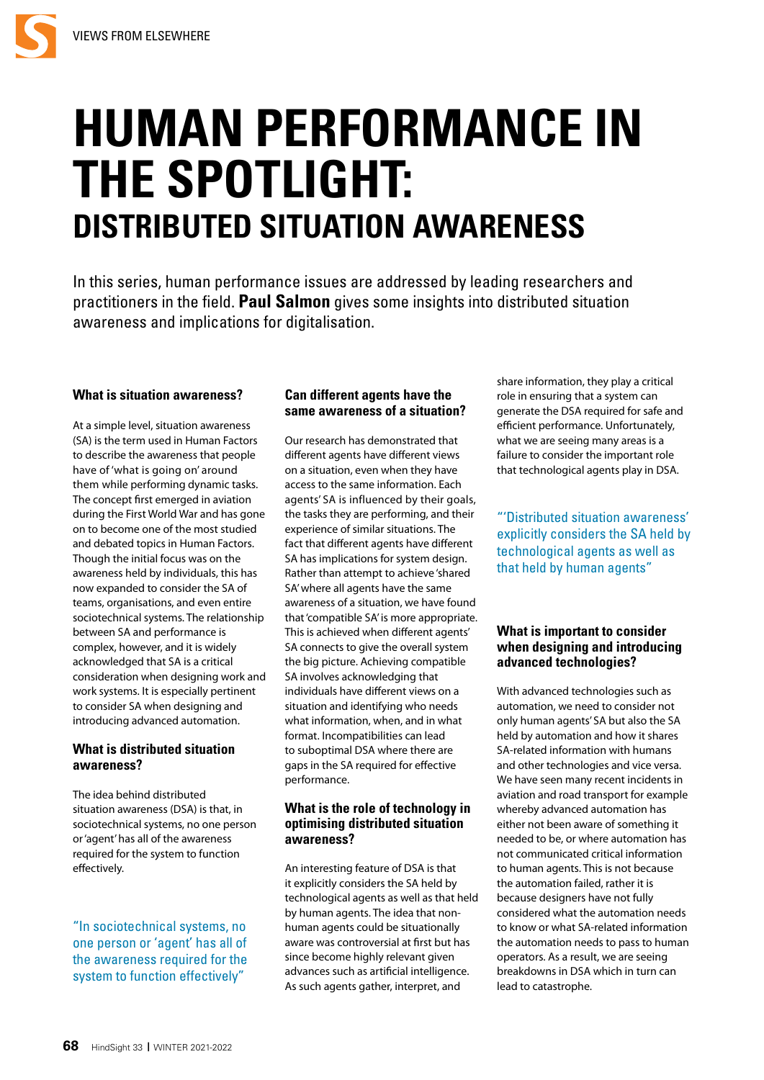

# **HUMAN PERFORMANCE IN THE SPOTLIGHT: DISTRIBUTED SITUATION AWARENESS**

In this series, human performance issues are addressed by leading researchers and practitioners in the field. **Paul Salmon** gives some insights into distributed situation awareness and implications for digitalisation.

### **What is situation awareness?**

At a simple level, situation awareness (SA) is the term used in Human Factors to describe the awareness that people have of 'what is going on' around them while performing dynamic tasks. The concept first emerged in aviation during the First World War and has gone on to become one of the most studied and debated topics in Human Factors. Though the initial focus was on the awareness held by individuals, this has now expanded to consider the SA of teams, organisations, and even entire sociotechnical systems. The relationship between SA and performance is complex, however, and it is widely acknowledged that SA is a critical consideration when designing work and work systems. It is especially pertinent to consider SA when designing and introducing advanced automation.

## **What is distributed situation awareness?**

The idea behind distributed situation awareness (DSA) is that, in sociotechnical systems, no one person or 'agent' has all of the awareness required for the system to function effectively.

"In sociotechnical systems, no one person or 'agent' has all of the awareness required for the system to function effectively"

## **Can different agents have the same awareness of a situation?**

Our research has demonstrated that different agents have different views on a situation, even when they have access to the same information. Each agents' SA is influenced by their goals, the tasks they are performing, and their experience of similar situations. The fact that different agents have different SA has implications for system design. Rather than attempt to achieve 'shared SA' where all agents have the same awareness of a situation, we have found that 'compatible SA' is more appropriate. This is achieved when different agents' SA connects to give the overall system the big picture. Achieving compatible SA involves acknowledging that individuals have different views on a situation and identifying who needs what information, when, and in what format. Incompatibilities can lead to suboptimal DSA where there are gaps in the SA required for effective performance.

## **What is the role of technology in optimising distributed situation awareness?**

An interesting feature of DSA is that it explicitly considers the SA held by technological agents as well as that held by human agents. The idea that nonhuman agents could be situationally aware was controversial at first but has since become highly relevant given advances such as artificial intelligence. As such agents gather, interpret, and

share information, they play a critical role in ensuring that a system can generate the DSA required for safe and efficient performance. Unfortunately, what we are seeing many areas is a failure to consider the important role that technological agents play in DSA.

"'Distributed situation awareness' explicitly considers the SA held by technological agents as well as that held by human agents"

## **What is important to consider when designing and introducing advanced technologies?**

With advanced technologies such as automation, we need to consider not only human agents' SA but also the SA held by automation and how it shares SA-related information with humans and other technologies and vice versa. We have seen many recent incidents in aviation and road transport for example whereby advanced automation has either not been aware of something it needed to be, or where automation has not communicated critical information to human agents. This is not because the automation failed, rather it is because designers have not fully considered what the automation needs to know or what SA-related information the automation needs to pass to human operators. As a result, we are seeing breakdowns in DSA which in turn can lead to catastrophe.